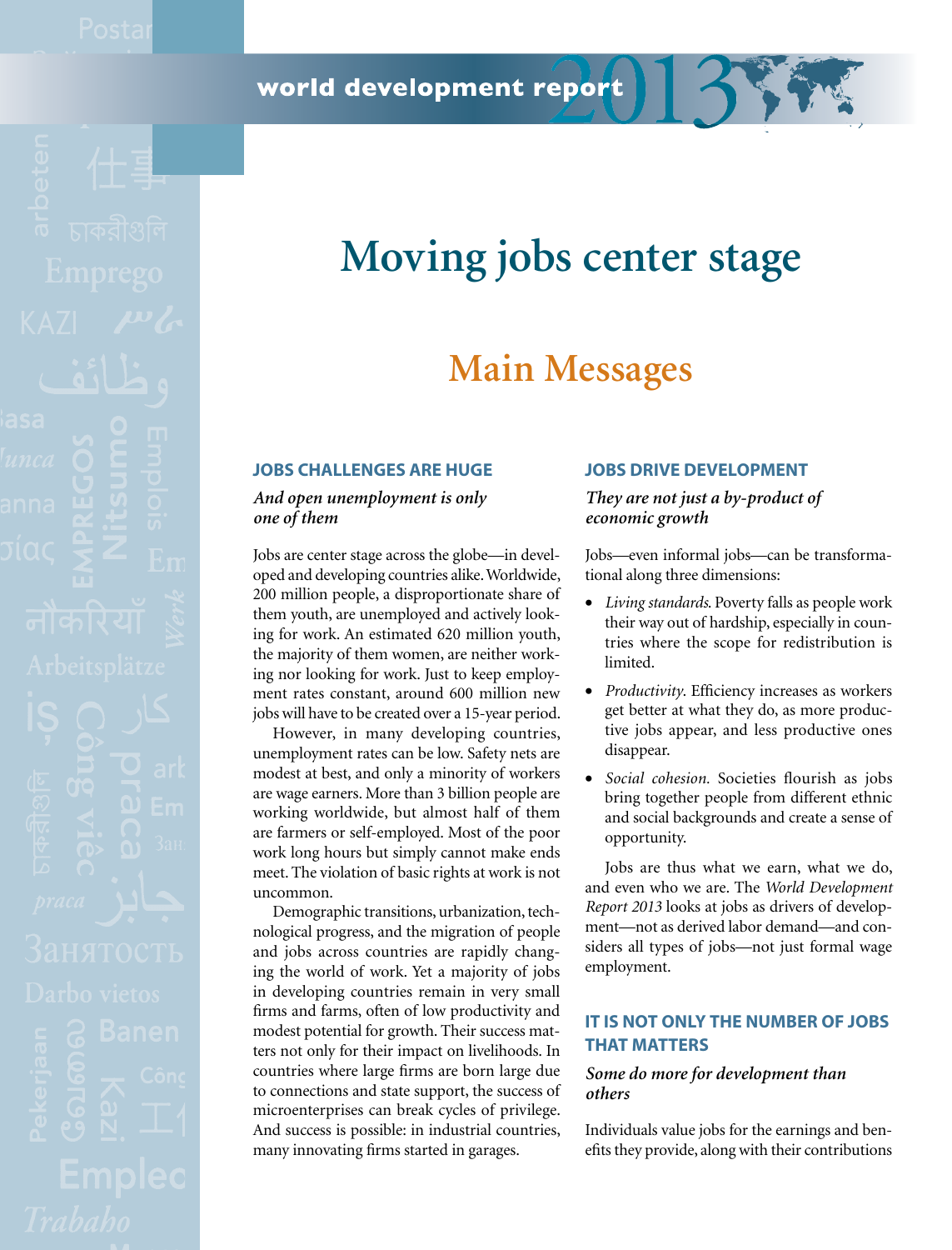world development report

# **Moving jobs center stage**

# **Main Messages**

# **Jobs challenges are huge**

*And open unemployment is only one of them*

Jobs are center stage across the globe—in developed and developing countries alike. Worldwide, 200 million people, a disproportionate share of them youth, are unemployed and actively looking for work. An estimated 620 million youth, the majority of them women, are neither working nor looking for work. Just to keep employment rates constant, around 600 million new jobs will have to be created over a 15-year period.

However, in many developing countries, unemployment rates can be low. Safety nets are modest at best, and only a minority of workers are wage earners. More than 3 billion people are working worldwide, but almost half of them are farmers or self-employed. Most of the poor work long hours but simply cannot make ends meet. The violation of basic rights at work is not uncommon.

Demographic transitions, urbanization, technological progress, and the migration of people and jobs across countries are rapidly changing the world of work. Yet a majority of jobs in developing countries remain in very small firms and farms, often of low productivity and modest potential for growth. Their success matters not only for their impact on livelihoods. In countries where large firms are born large due to connections and state support, the success of microenterprises can break cycles of privilege. And success is possible: in industrial countries, many innovating firms started in garages.

#### **Jobs drive development**

*They are not just a by-product of economic growth*

Jobs—even informal jobs—can be transformational along three dimensions:

- • *Living standards*. Poverty falls as people work their way out of hardship, especially in countries where the scope for redistribution is limited.
- • *Productivity*. Efficiency increases as workers get better at what they do, as more productive jobs appear, and less productive ones disappear.
- • *Social cohesion.* Societies flourish as jobs bring together people from different ethnic and social backgrounds and create a sense of opportunity.

Jobs are thus what we earn, what we do, and even who we are. The *World Development Report 2013* looks at jobs as drivers of development—not as derived labor demand—and considers all types of jobs—not just formal wage employment.

# **It is not only the number of jobs that matters**

## *Some do more for development than others*

Individuals value jobs for the earnings and benefits they provide, along with their contributions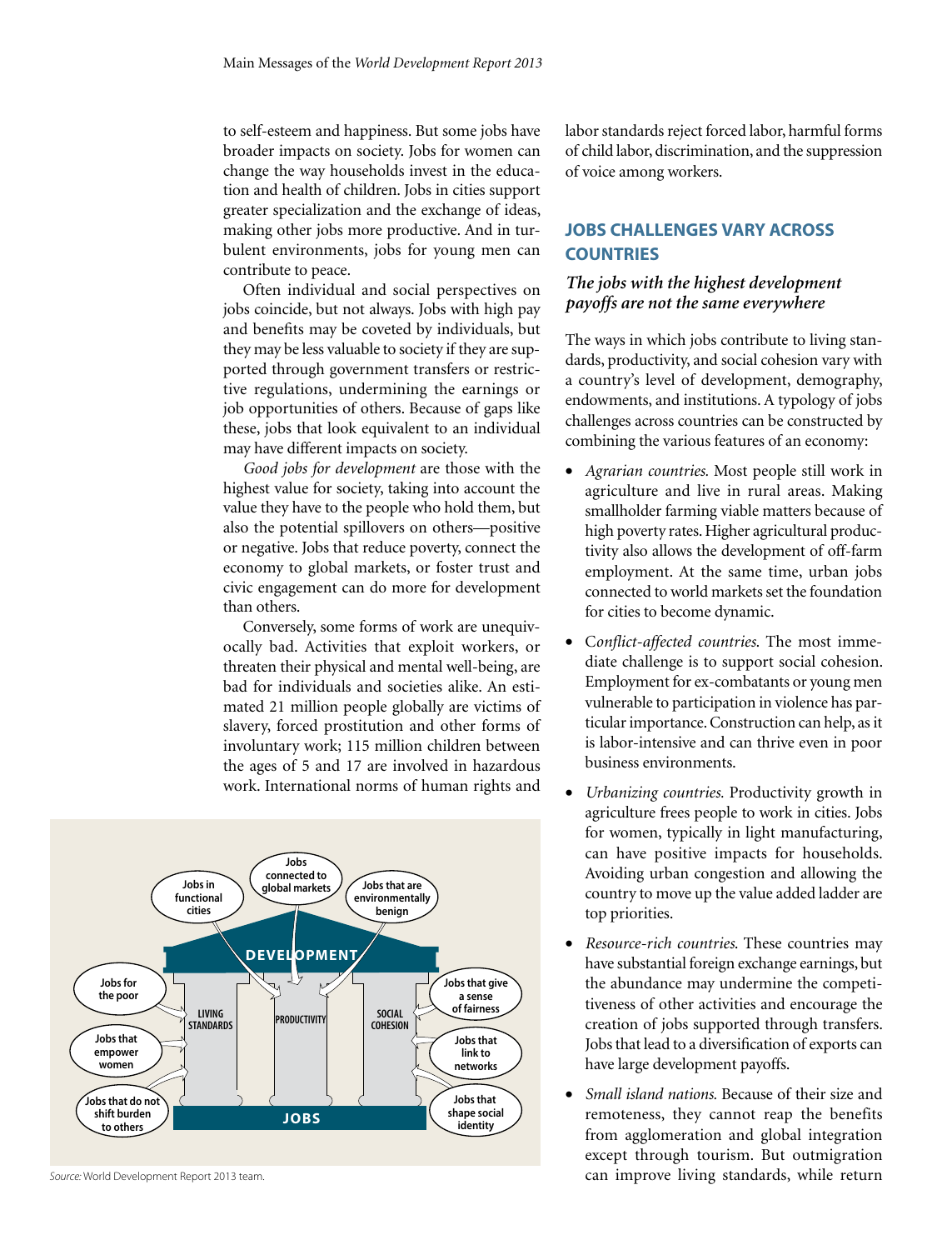to self-esteem and happiness. But some jobs have broader impacts on society. Jobs for women can change the way households invest in the education and health of children. Jobs in cities support greater specialization and the exchange of ideas, making other jobs more productive. And in turbulent environments, jobs for young men can contribute to peace.

Often individual and social perspectives on jobs coincide, but not always. Jobs with high pay and benefits may be coveted by individuals, but they may be less valuable to society if they are supported through government transfers or restrictive regulations, undermining the earnings or job opportunities of others. Because of gaps like these, jobs that look equivalent to an individual may have different impacts on society.

*Good jobs for development* are those with the highest value for society, taking into account the value they have to the people who hold them, but also the potential spillovers on others—positive or negative. Jobs that reduce poverty, connect the economy to global markets, or foster trust and civic engagement can do more for development than others.

Conversely, some forms of work are unequivocally bad. Activities that exploit workers, or threaten their physical and mental well-being, are bad for individuals and societies alike. An estimated 21 million people globally are victims of slavery, forced prostitution and other forms of involuntary work; 115 million children between the ages of 5 and 17 are involved in hazardous work. International norms of human rights and



*Source:* World Development Report 2013 team.

labor standards reject forced labor, harmful forms of child labor, discrimination, and the suppression of voice among workers.

# **Jobs challenges vary across countries**

# *The jobs with the highest development payoffs are not the same everywhere*

The ways in which jobs contribute to living standards, productivity, and social cohesion vary with a country's level of development, demography, endowments, and institutions. A typology of jobs challenges across countries can be constructed by combining the various features of an economy:

- Agrarian countries. Most people still work in agriculture and live in rural areas. Making smallholder farming viable matters because of high poverty rates. Higher agricultural productivity also allows the development of off-farm employment. At the same time, urban jobs connected to world markets set the foundation for cities to become dynamic.
- • C*onflict-affected countries*. The most immediate challenge is to support social cohesion. Employment for ex-combatants or young men vulnerable to participation in violence has particular importance. Construction can help, as it is labor-intensive and can thrive even in poor business environments.
- • *Urbanizing countries.* Productivity growth in agriculture frees people to work in cities. Jobs for women, typically in light manufacturing, can have positive impacts for households. Avoiding urban congestion and allowing the country to move up the value added ladder are top priorities.
- • *Resource-rich countries*. These countries may have substantial foreign exchange earnings, but the abundance may undermine the competitiveness of other activities and encourage the creation of jobs supported through transfers. Jobs that lead to a diversification of exports can have large development payoffs.
- *Small island nations.* Because of their size and remoteness, they cannot reap the benefits from agglomeration and global integration except through tourism. But outmigration can improve living standards, while return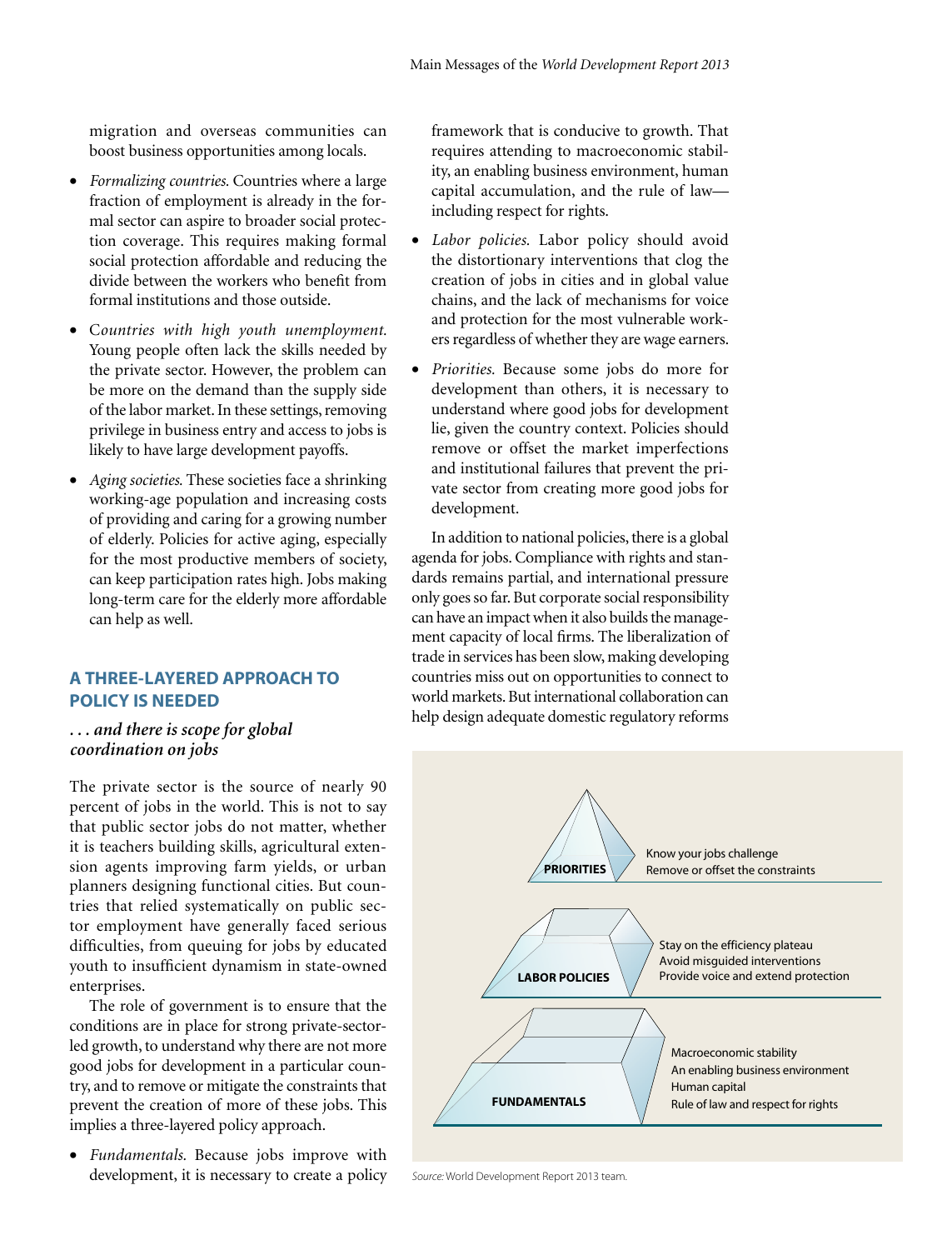migration and overseas communities can boost business opportunities among locals.

- • *Formalizing countries.* Countries where a large fraction of employment is already in the formal sector can aspire to broader social protection coverage. This requires making formal social protection affordable and reducing the divide between the workers who benefit from formal institutions and those outside.
- Countries with high youth unemployment. Young people often lack the skills needed by the private sector. However, the problem can be more on the demand than the supply side of the labor market. In these settings, removing privilege in business entry and access to jobs is likely to have large development payoffs.
- • *Aging societies.* These societies face a shrinking working-age population and increasing costs of providing and caring for a growing number of elderly. Policies for active aging, especially for the most productive members of society, can keep participation rates high. Jobs making long-term care for the elderly more affordable can help as well.

#### **A three-layered approach to policy is needed**

*. . . and there is scope for global coordination on jobs*

The private sector is the source of nearly 90 percent of jobs in the world. This is not to say that public sector jobs do not matter, whether it is teachers building skills, agricultural extension agents improving farm yields, or urban planners designing functional cities. But countries that relied systematically on public sector employment have generally faced serious difficulties, from queuing for jobs by educated youth to insufficient dynamism in state-owned enterprises.

The role of government is to ensure that the conditions are in place for strong private-sectorled growth, to understand why there are not more good jobs for development in a particular country, and to remove or mitigate the constraints that prevent the creation of more of these jobs. This implies a three-layered policy approach.

• *Fundamentals.* Because jobs improve with development, it is necessary to create a policy *Source:* World Development Report 2013 team.

framework that is conducive to growth. That requires attending to macroeconomic stability, an enabling business environment, human capital accumulation, and the rule of law including respect for rights.

- • *Labor policies.* Labor policy should avoid the distortionary interventions that clog the creation of jobs in cities and in global value chains, and the lack of mechanisms for voice and protection for the most vulnerable workers regardless of whether they are wage earners.
- • *Priorities.* Because some jobs do more for development than others, it is necessary to understand where good jobs for development lie, given the country context. Policies should remove or offset the market imperfections and institutional failures that prevent the private sector from creating more good jobs for development.

In addition to national policies, there is a global agenda for jobs. Compliance with rights and standards remains partial, and international pressure only goes so far. But corporate social responsibility can have an impact when it also builds the management capacity of local firms. The liberalization of trade in services has been slow, making developing countries miss out on opportunities to connect to world markets. But international collaboration can help design adequate domestic regulatory reforms